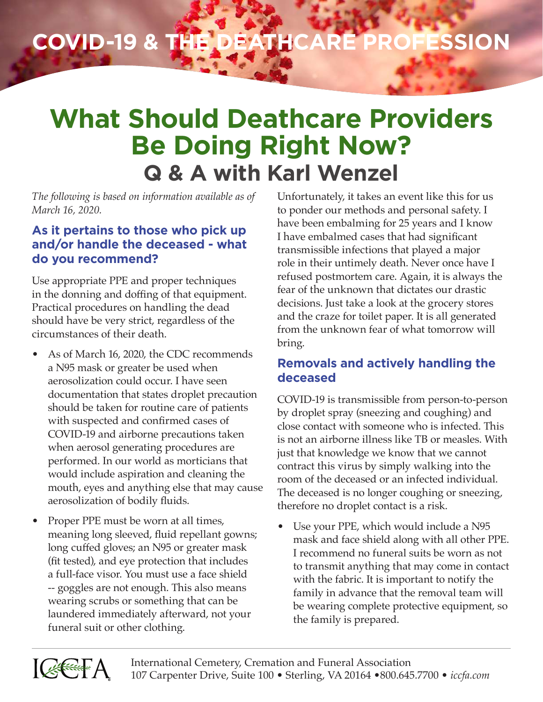# **COVID-19 & the Deathcare Profession**

# **What Should Deathcare Providers Be Doing Right Now? Q & A with Karl Wenzel**

*The following is based on information available as of March 16, 2020.*

#### **As it pertains to those who pick up and/or handle the deceased - what do you recommend?**

Use appropriate PPE and proper techniques in the donning and doffing of that equipment. Practical procedures on handling the dead should have be very strict, regardless of the circumstances of their death.

- As of March 16, 2020, the CDC recommends a N95 mask or greater be used when aerosolization could occur. I have seen documentation that states droplet precaution should be taken for routine care of patients with suspected and confirmed cases of COVID-19 and airborne precautions taken when aerosol generating procedures are performed. In our world as morticians that would include aspiration and cleaning the mouth, eyes and anything else that may cause aerosolization of bodily fluids.
- Proper PPE must be worn at all times, meaning long sleeved, fluid repellant gowns; long cuffed gloves; an N95 or greater mask (fit tested), and eye protection that includes a full-face visor. You must use a face shield -- goggles are not enough. This also means wearing scrubs or something that can be laundered immediately afterward, not your funeral suit or other clothing.

Unfortunately, it takes an event like this for us to ponder our methods and personal safety. I have been embalming for 25 years and I know I have embalmed cases that had significant transmissible infections that played a major role in their untimely death. Never once have I refused postmortem care. Again, it is always the fear of the unknown that dictates our drastic decisions. Just take a look at the grocery stores and the craze for toilet paper. It is all generated from the unknown fear of what tomorrow will bring.

### **Removals and actively handling the deceased**

COVID-19 is transmissible from person-to-person by droplet spray (sneezing and coughing) and close contact with someone who is infected. This is not an airborne illness like TB or measles. With just that knowledge we know that we cannot contract this virus by simply walking into the room of the deceased or an infected individual. The deceased is no longer coughing or sneezing, therefore no droplet contact is a risk.

• Use your PPE, which would include a N95 mask and face shield along with all other PPE. I recommend no funeral suits be worn as not to transmit anything that may come in contact with the fabric. It is important to notify the family in advance that the removal team will be wearing complete protective equipment, so the family is prepared.

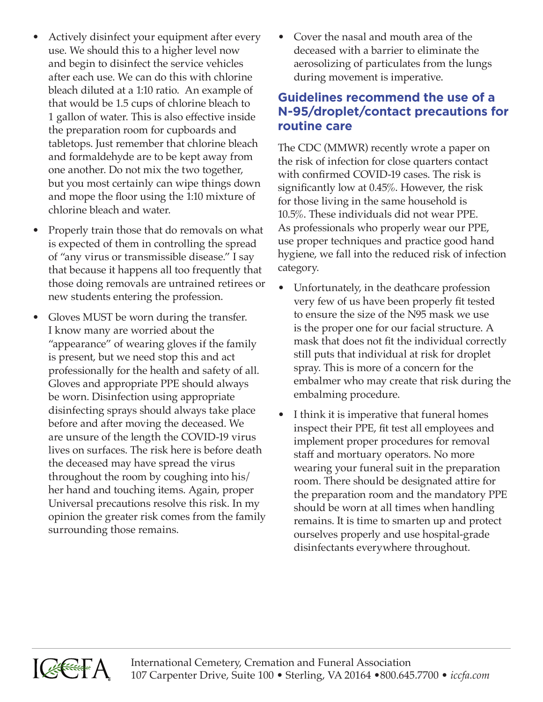- Actively disinfect your equipment after every use. We should this to a higher level now and begin to disinfect the service vehicles after each use. We can do this with chlorine bleach diluted at a 1:10 ratio. An example of that would be 1.5 cups of chlorine bleach to 1 gallon of water. This is also effective inside the preparation room for cupboards and tabletops. Just remember that chlorine bleach and formaldehyde are to be kept away from one another. Do not mix the two together, but you most certainly can wipe things down and mope the floor using the 1:10 mixture of chlorine bleach and water.
- Properly train those that do removals on what is expected of them in controlling the spread of "any virus or transmissible disease." I say that because it happens all too frequently that those doing removals are untrained retirees or new students entering the profession.
- Gloves MUST be worn during the transfer. I know many are worried about the "appearance" of wearing gloves if the family is present, but we need stop this and act professionally for the health and safety of all. Gloves and appropriate PPE should always be worn. Disinfection using appropriate disinfecting sprays should always take place before and after moving the deceased. We are unsure of the length the COVID-19 virus lives on surfaces. The risk here is before death the deceased may have spread the virus throughout the room by coughing into his/ her hand and touching items. Again, proper Universal precautions resolve this risk. In my opinion the greater risk comes from the family surrounding those remains.

• Cover the nasal and mouth area of the deceased with a barrier to eliminate the aerosolizing of particulates from the lungs during movement is imperative.

#### **Guidelines recommend the use of a N-95/droplet/contact precautions for routine care**

The CDC (MMWR) recently wrote a paper on the risk of infection for close quarters contact with confirmed COVID-19 cases. The risk is significantly low at 0.45%. However, the risk for those living in the same household is 10.5%. These individuals did not wear PPE. As professionals who properly wear our PPE, use proper techniques and practice good hand hygiene, we fall into the reduced risk of infection category.

- Unfortunately, in the deathcare profession very few of us have been properly fit tested to ensure the size of the N95 mask we use is the proper one for our facial structure. A mask that does not fit the individual correctly still puts that individual at risk for droplet spray. This is more of a concern for the embalmer who may create that risk during the embalming procedure.
- I think it is imperative that funeral homes inspect their PPE, fit test all employees and implement proper procedures for removal staff and mortuary operators. No more wearing your funeral suit in the preparation room. There should be designated attire for the preparation room and the mandatory PPE should be worn at all times when handling remains. It is time to smarten up and protect ourselves properly and use hospital-grade disinfectants everywhere throughout.

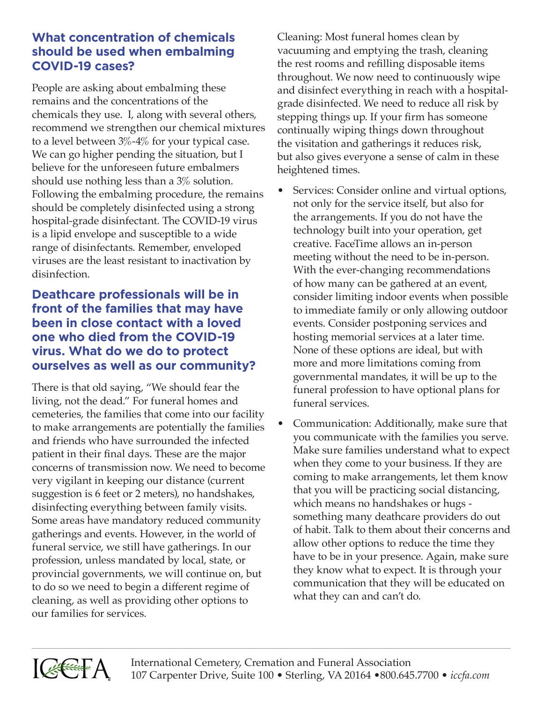#### **What concentration of chemicals should be used when embalming COVID-19 cases?**

People are asking about embalming these remains and the concentrations of the chemicals they use. I, along with several others, recommend we strengthen our chemical mixtures to a level between 3%-4% for your typical case. We can go higher pending the situation, but I believe for the unforeseen future embalmers should use nothing less than a 3% solution. Following the embalming procedure, the remains should be completely disinfected using a strong hospital-grade disinfectant. The COVID-19 virus is a lipid envelope and susceptible to a wide range of disinfectants. Remember, enveloped viruses are the least resistant to inactivation by disinfection.

#### **Deathcare professionals will be in front of the families that may have been in close contact with a loved one who died from the COVID-19 virus. What do we do to protect ourselves as well as our community?**

There is that old saying, "We should fear the living, not the dead." For funeral homes and cemeteries, the families that come into our facility to make arrangements are potentially the families and friends who have surrounded the infected patient in their final days. These are the major concerns of transmission now. We need to become very vigilant in keeping our distance (current suggestion is 6 feet or 2 meters), no handshakes, disinfecting everything between family visits. Some areas have mandatory reduced community gatherings and events. However, in the world of funeral service, we still have gatherings. In our profession, unless mandated by local, state, or provincial governments, we will continue on, but to do so we need to begin a different regime of cleaning, as well as providing other options to our families for services.

Cleaning: Most funeral homes clean by vacuuming and emptying the trash, cleaning the rest rooms and refilling disposable items throughout. We now need to continuously wipe and disinfect everything in reach with a hospitalgrade disinfected. We need to reduce all risk by stepping things up. If your firm has someone continually wiping things down throughout the visitation and gatherings it reduces risk, but also gives everyone a sense of calm in these heightened times.

- Services: Consider online and virtual options, not only for the service itself, but also for the arrangements. If you do not have the technology built into your operation, get creative. FaceTime allows an in-person meeting without the need to be in-person. With the ever-changing recommendations of how many can be gathered at an event, consider limiting indoor events when possible to immediate family or only allowing outdoor events. Consider postponing services and hosting memorial services at a later time. None of these options are ideal, but with more and more limitations coming from governmental mandates, it will be up to the funeral profession to have optional plans for funeral services.
- Communication: Additionally, make sure that you communicate with the families you serve. Make sure families understand what to expect when they come to your business. If they are coming to make arrangements, let them know that you will be practicing social distancing, which means no handshakes or hugs something many deathcare providers do out of habit. Talk to them about their concerns and allow other options to reduce the time they have to be in your presence. Again, make sure they know what to expect. It is through your communication that they will be educated on what they can and can't do.



International Cemetery, Cremation and Funeral Association 107 Carpenter Drive, Suite 100 • Sterling, VA 20164 •800.645.7700 • *iccfa.com*